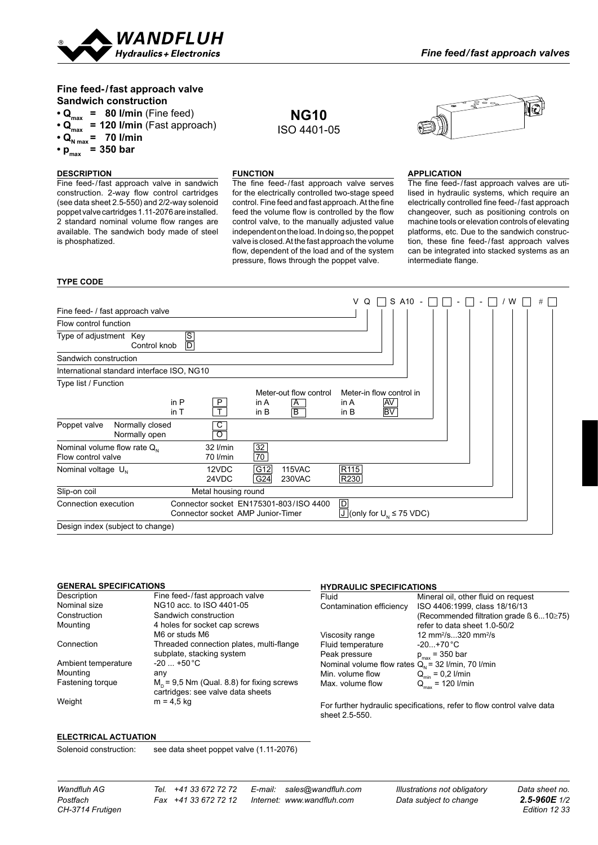

# **Fine feed-/fast approach valve Sandwich construction**

- $\cdot$  Q<sub>max</sub> = 80 l/min (Fine feed)
- **Qmax = 120 l/min** (Fast approach)
- $\cdot$  Q<sub>N max</sub> = 70 l/min
- $p_{\text{max}}^{\text{N max}}$  = 350 bar

### **DESCRIPTION**

Fine feed-/fast approach valve in sandwich construction. 2-way flow control cartridges (see data sheet 2.5-550) and 2/2-way solenoid poppet valve cartridges 1.11-2076 are installed. 2 standard nominal volume flow ranges are available. The sandwich body made of steel is phosphatized.

## **FUNCTION**

The fine feed-/fast approach valve serves for the electrically controlled two-stage speed control. Fine feed and fast approach. At the fine feed the volume flow is controlled by the flow control valve, to the manually adjusted value independent on the load. In doing so, the poppet valve is closed. At the fast approach the volume flow, dependent of the load and of the system pressure, flows through the poppet valve.

**NG10** ISO 4401-05



### **APPLICATION**

The fine feed-/fast approach valves are utilised in hydraulic systems, which require an electrically controlled fine feed-/fast approach changeover, such as positioning controls on machine tools or elevation controls of elevating platforms, etc. Due to the sandwich construction, these fine feed-/fast approach valves can be integrated into stacked systems as an intermediate flange.

### **TYPE CODE**

|                                                        |                                                                             |                      |                         | V                                                         | Q |          | S A10 |  |  |  | w | # |
|--------------------------------------------------------|-----------------------------------------------------------------------------|----------------------|-------------------------|-----------------------------------------------------------|---|----------|-------|--|--|--|---|---|
| Fine feed- / fast approach valve                       |                                                                             |                      |                         |                                                           |   |          |       |  |  |  |   |   |
| Flow control function                                  |                                                                             |                      |                         |                                                           |   |          |       |  |  |  |   |   |
| Type of adjustment Key<br>Control knob                 | $rac{S}{D}$                                                                 |                      |                         |                                                           |   |          |       |  |  |  |   |   |
| Sandwich construction                                  |                                                                             |                      |                         |                                                           |   |          |       |  |  |  |   |   |
| International standard interface ISO, NG10             |                                                                             |                      |                         |                                                           |   |          |       |  |  |  |   |   |
| Type list / Function                                   |                                                                             |                      | Meter-out flow control  | Meter-in flow control in                                  |   |          |       |  |  |  |   |   |
|                                                        | in P<br>P<br>Ŧ<br>in T                                                      | in $A$<br>in B       | A<br>$\overline{B}$     | in $A$<br>in $B$                                          |   | AV<br>BV |       |  |  |  |   |   |
| Normally closed<br>Poppet valve<br>Normally open       | С<br>$\overline{\mathsf{o}}$                                                |                      |                         |                                                           |   |          |       |  |  |  |   |   |
| Nominal volume flow rate $Q_{N}$<br>Flow control valve | 32 l/min<br>70 l/min                                                        | $\frac{32}{2}$<br>70 |                         |                                                           |   |          |       |  |  |  |   |   |
| Nominal voltage $U_{N}$                                | 12VDC<br>24VDC                                                              | G12<br>G24           | <b>115VAC</b><br>230VAC | R <sub>115</sub><br>R230                                  |   |          |       |  |  |  |   |   |
| Slip-on coil                                           | Metal housing round                                                         |                      |                         |                                                           |   |          |       |  |  |  |   |   |
| Connection execution                                   | Connector socket EN175301-803/ISO 4400<br>Connector socket AMP Junior-Timer |                      |                         | $\boxed{\mathsf{D}}$<br>$J$ (only for $U_{N} \le 75$ VDC) |   |          |       |  |  |  |   |   |
| Design index (subject to change)                       |                                                                             |                      |                         |                                                           |   |          |       |  |  |  |   |   |

### **General Specifications**

| Description         | Fine feed-/fast approach valve                                                    |
|---------------------|-----------------------------------------------------------------------------------|
| Nominal size        | NG10 acc. to ISO 4401-05                                                          |
| Construction        | Sandwich construction                                                             |
| Mounting            | 4 holes for socket cap screws                                                     |
|                     | M6 or studs M6                                                                    |
| Connection          | Threaded connection plates, multi-flange<br>subplate, stacking system             |
| Ambient temperature | $-20$ +50 °C                                                                      |
| Mounting            | any                                                                               |
| Fastening torque    | $M_p$ = 9,5 Nm (Qual. 8.8) for fixing screws<br>cartridges: see valve data sheets |
| Weight              | $m = 4.5$ kg                                                                      |
|                     |                                                                                   |

### **Hydraulic specifications**

| Fluid                                                  | Mineral oil, other fluid on request                  |
|--------------------------------------------------------|------------------------------------------------------|
| Contamination efficiency                               | ISO 4406:1999, class 18/16/13                        |
|                                                        | (Recommended filtration grade $\beta$ 610 $\geq$ 75) |
|                                                        | refer to data sheet 1.0-50/2                         |
| Viscosity range                                        | 12 mm <sup>2</sup> /s320 mm <sup>2</sup> /s          |
| Fluid temperature                                      | $-20+70 °C$                                          |
| Peak pressure                                          | $p_{\text{max}}$ = 350 bar                           |
| Nominal volume flow rates $Q_{N}$ = 32 l/min, 70 l/min |                                                      |
| Min. volume flow                                       | $\mathsf{Q}_{\mathsf{min}}$ = 0,2 l/min              |
| Max. volume flow                                       | $Q_{\text{max}}$ = 120 l/min                         |
|                                                        |                                                      |

For further hydraulic specifications, refer to flow control valve data sheet 2.5-550.

### **Electrical Actuation**

Solenoid construction: see data sheet poppet valve (1.11-2076)